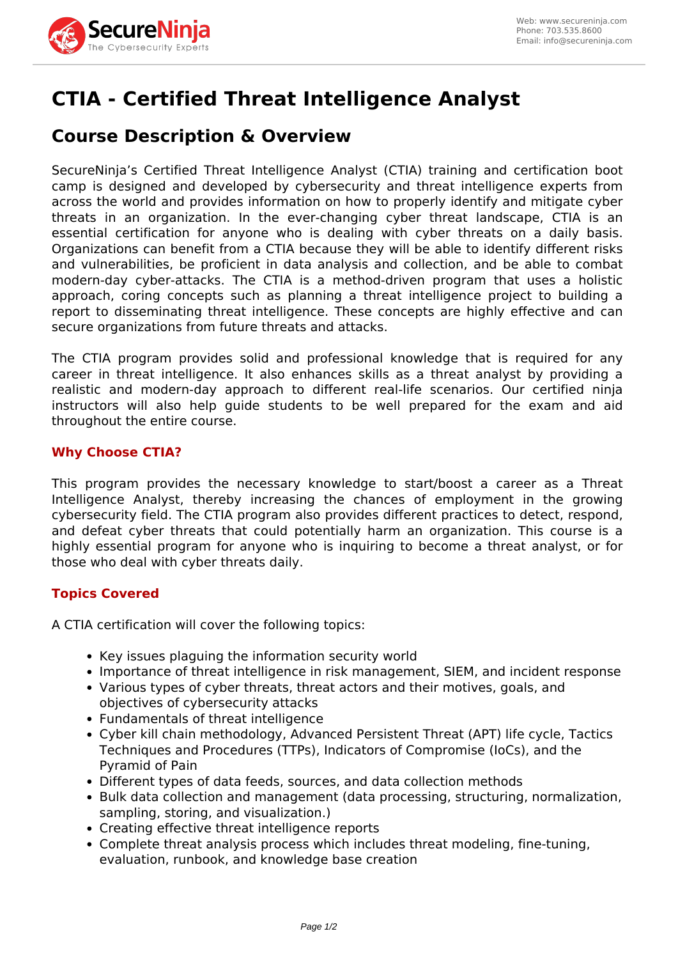

# **CTIA - Certified Threat Intelligence Analyst**

# **Course Description & Overview**

SecureNinja's Certified Threat Intelligence Analyst (CTIA) training and certification boot camp is designed and developed by cybersecurity and threat intelligence experts from across the world and provides information on how to properly identify and mitigate cyber threats in an organization. In the ever-changing cyber threat landscape, CTIA is an essential certification for anyone who is dealing with cyber threats on a daily basis. Organizations can benefit from a CTIA because they will be able to identify different risks and vulnerabilities, be proficient in data analysis and collection, and be able to combat modern-day cyber-attacks. The CTIA is a method-driven program that uses a holistic approach, coring concepts such as planning a threat intelligence project to building a report to disseminating threat intelligence. These concepts are highly effective and can secure organizations from future threats and attacks.

The CTIA program provides solid and professional knowledge that is required for any career in threat intelligence. It also enhances skills as a threat analyst by providing a realistic and modern-day approach to different real-life scenarios. Our certified ninja instructors will also help guide students to be well prepared for the exam and aid throughout the entire course.

# **Why Choose CTIA?**

This program provides the necessary knowledge to start/boost a career as a Threat Intelligence Analyst, thereby increasing the chances of employment in the growing cybersecurity field. The CTIA program also provides different practices to detect, respond, and defeat cyber threats that could potentially harm an organization. This course is a highly essential program for anyone who is inquiring to become a threat analyst, or for those who deal with cyber threats daily.

# **Topics Covered**

A CTIA certification will cover the following topics:

- Key issues plaguing the information security world
- Importance of threat intelligence in risk management, SIEM, and incident response
- Various types of cyber threats, threat actors and their motives, goals, and objectives of cybersecurity attacks
- Fundamentals of threat intelligence
- Cyber kill chain methodology, Advanced Persistent Threat (APT) life cycle, Tactics Techniques and Procedures (TTPs), Indicators of Compromise (IoCs), and the Pyramid of Pain
- Different types of data feeds, sources, and data collection methods
- Bulk data collection and management (data processing, structuring, normalization, sampling, storing, and visualization.)
- Creating effective threat intelligence reports
- Complete threat analysis process which includes threat modeling, fine-tuning, evaluation, runbook, and knowledge base creation